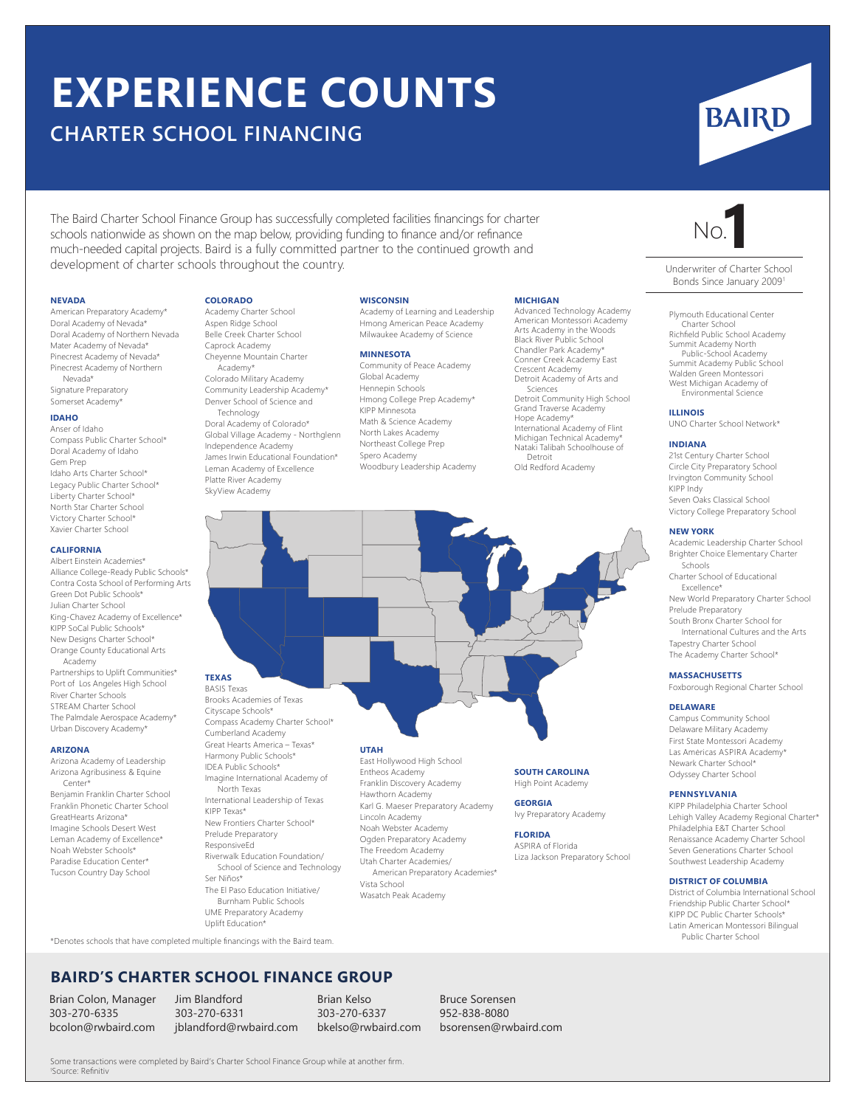# **EXPERIENCE COUNTS**

# **CHARTER SCHOOL FINANCING**

**COLORADO** Academy Charter School Aspen Ridge School Belle Creek Charter School Caprock Academy Cheyenne Mountain Charter Academy\* Colorado Military Academy Community Leadership Academy\* Denver School of Science and Technology Doral Academy of Colorado\* Global Village Academy - Northglenn Independence Academy James Irwin Educational Foundation\* Leman Academy of Excellence Platte River Academy SkyView Academy

The Baird Charter School Finance Group has successfully completed facilities financings for charter schools nationwide as shown on the map below, providing funding to finance and/or refinance much-needed capital projects. Baird is a fully committed partner to the continued growth and development of charter schools throughout the country.

#### **NEVADA**

American Preparatory Academy\* Doral Academy of Nevada\* Doral Academy of Northern Nevada Mater Academy of Nevada\* Pinecrest Academy of Nevada\* Pinecrest Academy of Northern Nevada\* Signature Preparatory Somerset Academy\*

### **IDAHO**

Anser of Idaho Compass Public Charter School\* Doral Academy of Idaho Gem Prep Idaho Arts Charter School\* Legacy Public Charter School\* Liberty Charter School\* North Star Charter School Victory Charter School\* Xavier Charter School

#### **CALIFORNIA**

Albert Einstein Academies\* Alliance College-Ready Public Schools\* Contra Costa School of Performing Arts Green Dot Public Schools\* Julian Charter School King-Chavez Academy of Excellence\* KIPP SoCal Public Schools\* New Designs Charter School\* Orange County Educational Arts Academy Partnerships to Uplift Communities\* Port of Los Angeles High School River Charter Schools STREAM Charter School The Palmdale Aerospace Academy\* Urban Discovery Academy\*

#### **ARIZONA**

Arizona Academy of Leadership Arizona Agribusiness & Equine Center\* Benjamin Franklin Charter School Franklin Phonetic Charter School GreatHearts Arizona\* Imagine Schools Desert West Leman Academy of Excellence\* Noah Webster Schools\* Paradise Education Center\* Tucson Country Day School

North Texas International Leadership of Texas KIPP Texas\* New Frontiers Charter School\* Prelude Preparatory ResponsiveEd Riverwalk Education Foundation/ School of Science and Technology Ser Niños\*

The El Paso Education Initiative/ Burnham Public Schools UME Preparatory Academy Uplift Education\*

## **WISCONSIN**

Academy of Learning and Leadership Hmong American Peace Academy Milwaukee Academy of Science

### **MINNESOTA**

Community of Peace Academy Global Academy Hennepin Schools Hmong College Prep Academy\* KIPP Minnesota Math & Science Academy North Lakes Academy Northeast College Prep Spero Academy Woodbury Leadership Academy

#### **MICHIGAN**

Advanced Technology Academy American Montessori Academy Arts Academy in the Woods Black River Public School Chandler Park Academy\* Conner Creek Academy East Crescent Academy Detroit Academy of Arts and Sciences Detroit Community High School Grand Traverse Academy

Hope Academy\* International Academy of Flint Michigan Technical Academy\* Nataki Talibah Schoolhouse of Detroit Old Redford Academy

**UTAH TEXAS** BASIS Texas Brooks Academies of Texas Cityscape Schools\* Compass Academy Charter School\* Cumberland Academy Great Hearts America – Texas\*

> Entheos Academy Franklin Discovery Academy Hawthorn Academy Karl G. Maeser Preparatory Academy Lincoln Academy Noah Webster Academy Ogden Preparatory Academy The Freedom Academy Utah Charter Academies/ American Preparatory Academies\*

Vista School Wasatch Peak Academy

#### **SOUTH CAROLINA** High Point Academy

**GEORGIA** Ivy Preparatory Academy

# **FLORIDA**

ASPIRA of Florida Liza Jackson Preparatory School

Underwriter of Charter School Bonds Since January 2009

#### Plymouth Educational Center Charter School Richfield Public School Academy Summit Academy North Public-School Academy Summit Academy Public School Walden Green Montessori West Michigan Academy of Environmental Science

## **ILLINOIS**

UNO Charter School Network\*

#### **INDIANA**

21st Century Charter School Circle City Preparatory School Irvington Community School KIPP Indy Seven Oaks Classical School Victory College Preparatory School

#### **NEW YORK**

Academic Leadership Charter School Brighter Choice Elementary Charter Schools

Charter School of Educational Excellence\*

New World Preparatory Charter School Prelude Preparatory

South Bronx Charter School for International Cultures and the Arts Tapestry Charter School

The Academy Charter School\*

## **MASSACHUSETTS**

Foxborough Regional Charter School

#### **DELAWARE**

Campus Community School Delaware Military Academy First State Montessori Academy Las Amėricas ASPIRA Academy\* Newark Charter School\* Odyssey Charter School

# **PENNSYLVANIA**

KIPP Philadelphia Charter School Lehigh Valley Academy Regional Charter\* Philadelphia E&T Charter School Renaissance Academy Charter School Seven Generations Charter School Southwest Leadership Academy

#### **DISTRICT OF COLUMBIA**

District of Columbia International School Friendship Public Charter School\* KIPP DC Public Charter Schools\* Latin American Montessori Bilingual Public Charter School

\*Denotes schools that have completed multiple financings with the Baird team.

# **BAIRD'S CHARTER SCHOOL FINANCE GROUP**

Brian Colon, Manager 303-270-6335 bcolon@rwbaird.com

Jim Blandford 303-270-6331 jblandford@rwbaird.com

Brian Kelso 303-270-6337 bkelso@rwbaird.com Bruce Sorensen 952-838-8080 bsorensen@rwbaird.com

Some transactions were completed by Baird's Charter School Finance Group while at another firm. 1 Source: Refinitiv